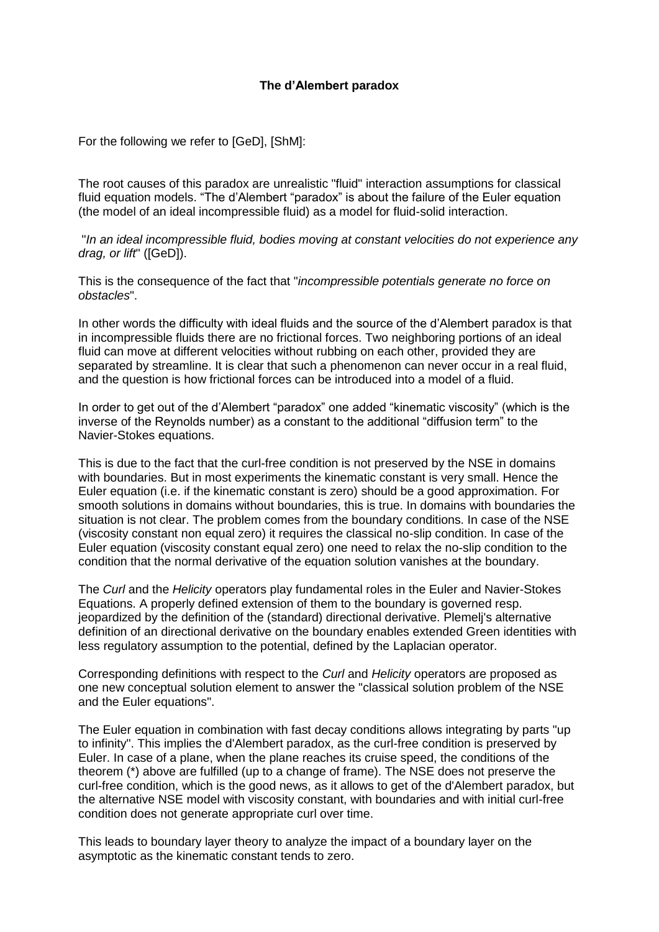## **The d'Alembert paradox**

For the following we refer to [GeD], [ShM]:

The root causes of this paradox are unrealistic "fluid" interaction assumptions for classical fluid equation models. "The d'Alembert "paradox" is about the failure of the Euler equation (the model of an ideal incompressible fluid) as a model for fluid-solid interaction.

"*In an ideal incompressible fluid, bodies moving at constant velocities do not experience any drag, or lift*" ([GeD]).

This is the consequence of the fact that "*incompressible potentials generate no force on obstacles*".

In other words the difficulty with ideal fluids and the source of the d'Alembert paradox is that in incompressible fluids there are no frictional forces. Two neighboring portions of an ideal fluid can move at different velocities without rubbing on each other, provided they are separated by streamline. It is clear that such a phenomenon can never occur in a real fluid, and the question is how frictional forces can be introduced into a model of a fluid.

In order to get out of the d'Alembert "paradox" one added "kinematic viscosity" (which is the inverse of the Reynolds number) as a constant to the additional "diffusion term" to the Navier-Stokes equations.

This is due to the fact that the curl-free condition is not preserved by the NSE in domains with boundaries. But in most experiments the kinematic constant is very small. Hence the Euler equation (i.e. if the kinematic constant is zero) should be a good approximation. For smooth solutions in domains without boundaries, this is true. In domains with boundaries the situation is not clear. The problem comes from the boundary conditions. In case of the NSE (viscosity constant non equal zero) it requires the classical no-slip condition. In case of the Euler equation (viscosity constant equal zero) one need to relax the no-slip condition to the condition that the normal derivative of the equation solution vanishes at the boundary.

The *Curl* and the *Helicity* operators play fundamental roles in the Euler and Navier-Stokes Equations. A properly defined extension of them to the boundary is governed resp. jeopardized by the definition of the (standard) directional derivative. Plemelj's alternative definition of an directional derivative on the boundary enables extended Green identities with less regulatory assumption to the potential, defined by the Laplacian operator.

Corresponding definitions with respect to the *Curl* and *Helicity* operators are proposed as one new conceptual solution element to answer the "classical solution problem of the NSE and the Euler equations".

The Euler equation in combination with fast decay conditions allows integrating by parts "up to infinity". This implies the d'Alembert paradox, as the curl-free condition is preserved by Euler. In case of a plane, when the plane reaches its cruise speed, the conditions of the theorem (\*) above are fulfilled (up to a change of frame). The NSE does not preserve the curl-free condition, which is the good news, as it allows to get of the d'Alembert paradox, but the alternative NSE model with viscosity constant, with boundaries and with initial curl-free condition does not generate appropriate curl over time.

This leads to boundary layer theory to analyze the impact of a boundary layer on the asymptotic as the kinematic constant tends to zero.